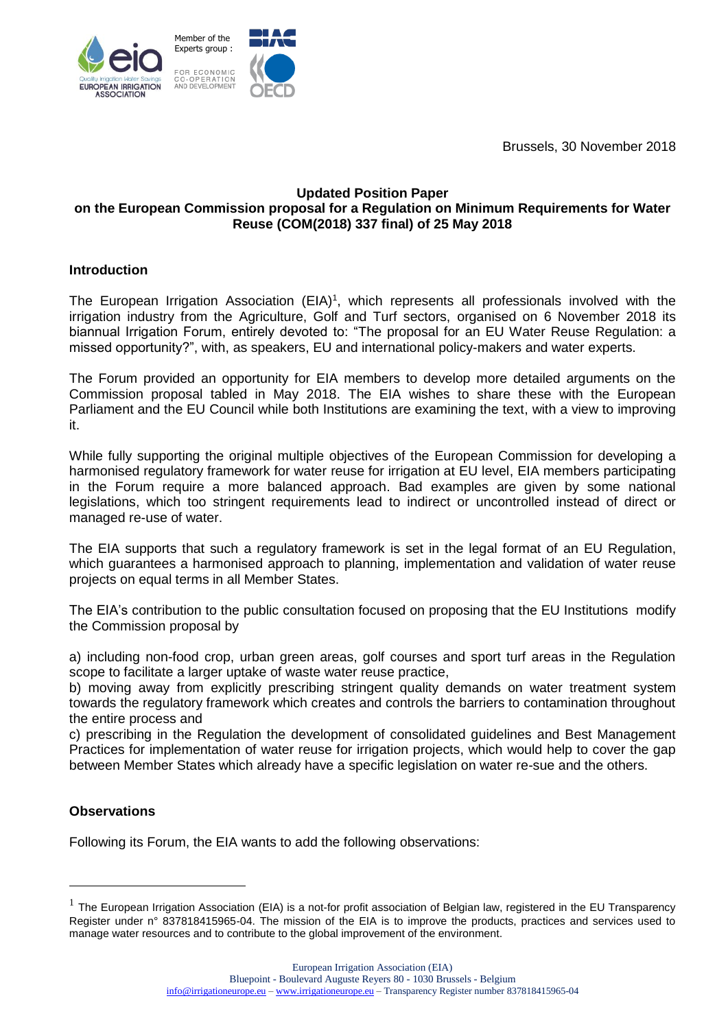Brussels, 30 November 2018



## **Updated Position Paper on the European Commission proposal for a Regulation on Minimum Requirements for Water Reuse (COM(2018) 337 final) of 25 May 2018**

## **Introduction**

The European Irrigation Association (EIA)<sup>1</sup>, which represents all professionals involved with the irrigation industry from the Agriculture, Golf and Turf sectors, organised on 6 November 2018 its biannual Irrigation Forum, entirely devoted to: "The proposal for an EU Water Reuse Regulation: a missed opportunity?", with, as speakers, EU and international policy-makers and water experts.

The Forum provided an opportunity for EIA members to develop more detailed arguments on the Commission proposal tabled in May 2018. The EIA wishes to share these with the European Parliament and the EU Council while both Institutions are examining the text, with a view to improving it.

While fully supporting the original multiple objectives of the European Commission for developing a harmonised regulatory framework for water reuse for irrigation at EU level, EIA members participating in the Forum require a more balanced approach. Bad examples are given by some national legislations, which too stringent requirements lead to indirect or uncontrolled instead of direct or managed re-use of water.

The EIA supports that such a regulatory framework is set in the legal format of an EU Regulation, which guarantees a harmonised approach to planning, implementation and validation of water reuse projects on equal terms in all Member States.

The EIA's contribution to the public consultation focused on proposing that the EU Institutions modify the Commission proposal by

a) including non-food crop, urban green areas, golf courses and sport turf areas in the Regulation scope to facilitate a larger uptake of waste water reuse practice,

b) moving away from explicitly prescribing stringent quality demands on water treatment system towards the regulatory framework which creates and controls the barriers to contamination throughout the entire process and

c) prescribing in the Regulation the development of consolidated guidelines and Best Management Practices for implementation of water reuse for irrigation projects, which would help to cover the gap between Member States which already have a specific legislation on water re-sue and the others.

## **Observations**

-

Following its Forum, the EIA wants to add the following observations:

 $1$  The European Irrigation Association (EIA) is a not-for profit association of Belgian law, registered in the EU Transparency Register under n° 837818415965-04. The mission of the EIA is to improve the products, practices and services used to manage water resources and to contribute to the global improvement of the environment.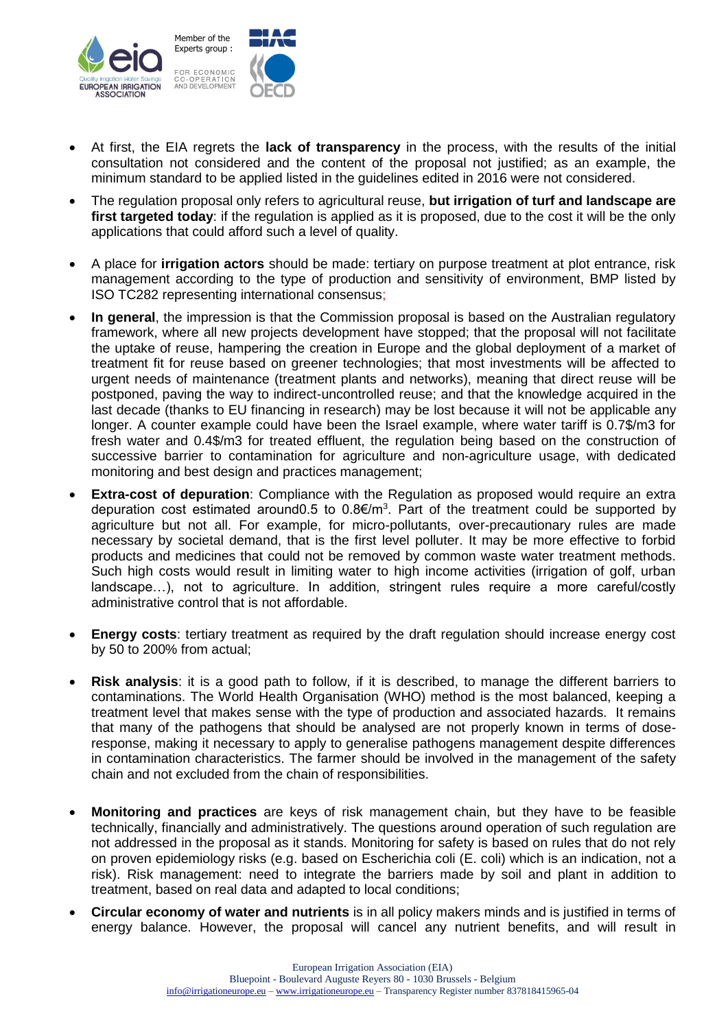

- At first, the EIA regrets the **lack of transparency** in the process, with the results of the initial consultation not considered and the content of the proposal not justified; as an example, the minimum standard to be applied listed in the guidelines edited in 2016 were not considered.
- The regulation proposal only refers to agricultural reuse, **but irrigation of turf and landscape are first targeted today**: if the regulation is applied as it is proposed, due to the cost it will be the only applications that could afford such a level of quality.
- A place for **irrigation actors** should be made: tertiary on purpose treatment at plot entrance, risk management according to the type of production and sensitivity of environment, BMP listed by ISO TC282 representing international consensus;
- **In general**, the impression is that the Commission proposal is based on the Australian regulatory framework, where all new projects development have stopped; that the proposal will not facilitate the uptake of reuse, hampering the creation in Europe and the global deployment of a market of treatment fit for reuse based on greener technologies; that most investments will be affected to urgent needs of maintenance (treatment plants and networks), meaning that direct reuse will be postponed, paving the way to indirect-uncontrolled reuse; and that the knowledge acquired in the last decade (thanks to EU financing in research) may be lost because it will not be applicable any longer. A counter example could have been the Israel example, where water tariff is 0.7\$/m3 for fresh water and 0.4\$/m3 for treated effluent, the regulation being based on the construction of successive barrier to contamination for agriculture and non-agriculture usage, with dedicated monitoring and best design and practices management;
- **Extra-cost of depuration**: Compliance with the Regulation as proposed would require an extra depuration cost estimated around 0.5 to  $0.8 \epsilon/m^3$ . Part of the treatment could be supported by agriculture but not all. For example, for micro-pollutants, over-precautionary rules are made necessary by societal demand, that is the first level polluter. It may be more effective to forbid products and medicines that could not be removed by common waste water treatment methods. Such high costs would result in limiting water to high income activities (irrigation of golf, urban landscape…), not to agriculture. In addition, stringent rules require a more careful/costly administrative control that is not affordable.
- **Energy costs:** tertiary treatment as required by the draft regulation should increase energy cost by 50 to 200% from actual;
- **Risk analysis**: it is a good path to follow, if it is described, to manage the different barriers to contaminations. The World Health Organisation (WHO) method is the most balanced, keeping a treatment level that makes sense with the type of production and associated hazards. It remains that many of the pathogens that should be analysed are not properly known in terms of doseresponse, making it necessary to apply to generalise pathogens management despite differences in contamination characteristics. The farmer should be involved in the management of the safety chain and not excluded from the chain of responsibilities.
- **Monitoring and practices** are keys of risk management chain, but they have to be feasible technically, financially and administratively. The questions around operation of such regulation are not addressed in the proposal as it stands. Monitoring for safety is based on rules that do not rely on proven epidemiology risks (e.g. based on Escherichia coli (E. coli) which is an indication, not a risk). Risk management: need to integrate the barriers made by soil and plant in addition to treatment, based on real data and adapted to local conditions;
- **Circular economy of water and nutrients** is in all policy makers minds and is justified in terms of energy balance. However, the proposal will cancel any nutrient benefits, and will result in